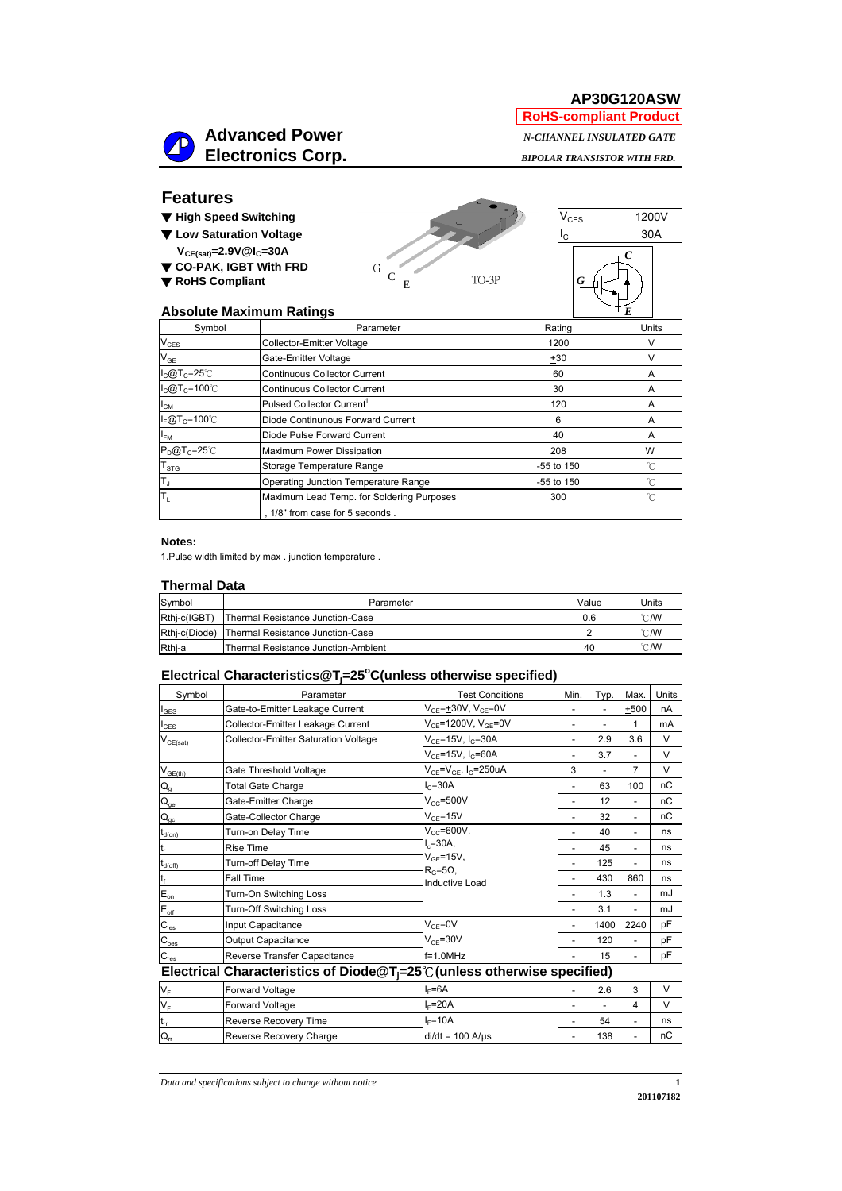**AP30G120ASW RoHS-compliant Product**



 *BIPOLAR TRANSISTOR WITH FRD.*

### **Features**

- ▼ **High Speed Switching**
- ▼ **Low Saturation Voltage**
- $V_{CE(sat)} = 2.9V@I<sub>C</sub> = 30A$ ▼ **CO-PAK, IGBT With FRD** ▼ **RoHS Compliant**





#### **Absolute Maximum Ratings**

| <b>Absolute Maximum Ratings</b>           |            |       |
|-------------------------------------------|------------|-------|
| Parameter                                 | Rating     | Units |
| <b>Collector-Emitter Voltage</b>          | 1200       | v     |
| Gate-Emitter Voltage                      | $+30$      | ν     |
| <b>Continuous Collector Current</b>       | 60         | A     |
| <b>Continuous Collector Current</b>       | 30         | A     |
| Pulsed Collector Current <sup>1</sup>     | 120        | A     |
| Diode Continunous Forward Current         | 6          | A     |
| Diode Pulse Forward Current               | 40         | A     |
| Maximum Power Dissipation                 | 208        | W     |
| Storage Temperature Range                 | -55 to 150 | °C    |
| Operating Junction Temperature Range      | -55 to 150 | °C    |
| Maximum Lead Temp. for Soldering Purposes | 300        | °C    |
| , 1/8" from case for 5 seconds.           |            |       |
|                                           |            |       |

#### **Notes:**

1.Pulse width limited by max . junction temperature .

#### **Thermal Data**

| Symbol       | Parameter                                      | Value | Units |
|--------------|------------------------------------------------|-------|-------|
| Rthj-c(IGBT) | Thermal Resistance Junction-Case               | 0.6   | °C/W  |
|              | Rthi-c(Diode) Thermal Resistance Junction-Case |       | °C/W  |
| Rthj-a       | Thermal Resistance Junction-Ambient            | 40    | °C/W  |

### **Electrical Characteristics@Tj =25o C(unless otherwise specified)**

| Symbol                                                                             | Parameter                                   | <b>Test Conditions</b>                    | Min.           | Typ. | Max.                     | <b>Units</b> |
|------------------------------------------------------------------------------------|---------------------------------------------|-------------------------------------------|----------------|------|--------------------------|--------------|
| $I_{\text{GES}}$                                                                   | Gate-to-Emitter Leakage Current             | $V_{GF} = \pm 30V$ , $V_{CF} = 0V$        |                |      | $+500$                   | nA           |
| $I_{\text{CES}}$                                                                   | Collector-Emitter Leakage Current           | $V_{CF} = 1200V, V_{GF} = 0V$             | $\overline{a}$ |      | 1                        | mA           |
| $\mathsf{V}_{\mathsf{CE}(\mathsf{sat})}$                                           | <b>Collector-Emitter Saturation Voltage</b> | $V_{GF} = 15V, I_C = 30A$                 | $\overline{a}$ | 2.9  | 3.6                      | V            |
|                                                                                    |                                             | $V_{GF}$ =15V, I <sub>C</sub> =60A        |                | 3.7  | $\overline{\phantom{a}}$ | V            |
| $V_{GE(th)}$                                                                       | Gate Threshold Voltage                      | $V_{CE} = V_{GE}$ , I <sub>C</sub> =250uA | 3              |      | 7                        | V            |
| $\mathsf{Q}_{\mathsf{g}}$                                                          | <b>Total Gate Charge</b>                    | $I_{C} = 30A$                             |                | 63   | 100                      | пC           |
| $\mathsf{Q}_\mathsf{ge}$                                                           | Gate-Emitter Charge                         | $V_{CC} = 500V$                           |                | 12   | $\overline{\phantom{a}}$ | пC           |
| $\mathsf{Q}_\mathsf{gc}$                                                           | Gate-Collector Charge                       | $V_{GF} = 15V$                            |                | 32   | $\overline{\phantom{a}}$ | пC           |
| $L_{d(on)}$                                                                        | Turn-on Delay Time                          | $V_{cc}$ =600V,                           |                | 40   | $\overline{\phantom{a}}$ | ns           |
|                                                                                    | <b>Rise Time</b>                            | $L = 30A$                                 |                | 45   | $\overline{\phantom{a}}$ | ns           |
| $I_{d(Off)}$                                                                       | Turn-off Delay Time                         | $V_{GF} = 15V,$<br>$R_G = 5\Omega$        |                | 125  | $\overline{\phantom{a}}$ | ns           |
|                                                                                    | Fall Time                                   | <b>Inductive Load</b>                     |                | 430  | 860                      | ns           |
| $E_{\text{on}}$                                                                    | Turn-On Switching Loss                      |                                           |                | 1.3  | $\overline{\phantom{a}}$ | mJ           |
| $E_{\text{off}}$                                                                   | Turn-Off Switching Loss                     |                                           |                | 3.1  | $\overline{\phantom{a}}$ | mJ           |
| $C_{\text{ies}}$                                                                   | Input Capacitance                           | $V_{GF} = 0V$                             |                | 1400 | 2240                     | pF           |
| $C_{\rm {oes}}$                                                                    | <b>Output Capacitance</b>                   | $V_{CE} = 30V$                            |                | 120  | $\overline{\phantom{a}}$ | pF           |
| $C_{res}$                                                                          | Reverse Transfer Capacitance                | $f=1.0$ MHz                               |                | 15   | $\overline{\phantom{a}}$ | pF           |
| Electrical Characteristics of Diode $@T_i=25^{\circ}$ (unless otherwise specified) |                                             |                                           |                |      |                          |              |

| $V_F$           | <b>Forward Voltage</b>  | $L = 6A$           | 2.6 | ື |    |
|-----------------|-------------------------|--------------------|-----|---|----|
| $V_F$           | <b>Forward Voltage</b>  | $L = 20A$          |     |   |    |
| It <sub>n</sub> | Reverse Recovery Time   | $L = 10A$          | 54  |   | ns |
| $Q_{rr}$        | Reverse Recovery Charge | $di/dt = 100$ A/us | 138 |   | пC |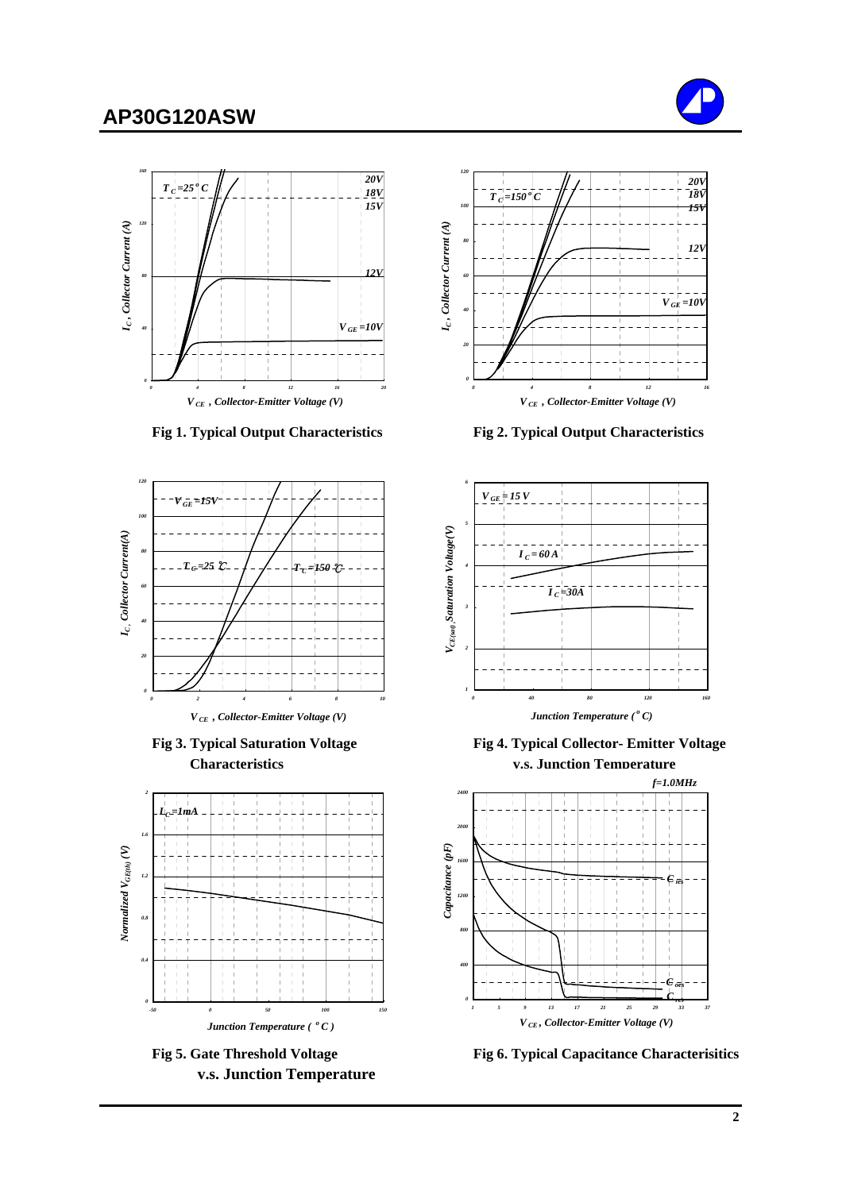## **AP30G120ASW**





 **Fig 1. Typical Output Characteristics Fig 2. Typical Output Characteristics**





 **v.s. Junction Temperature**





**Fig 3. Typical Saturation Voltage Fig 4. Typical Collector- Emitter Voltage Characteristics v.s. Junction Temperature**



Fig 5. Gate Threshold Voltage Fig 6. Typical Capacitance Characterisitics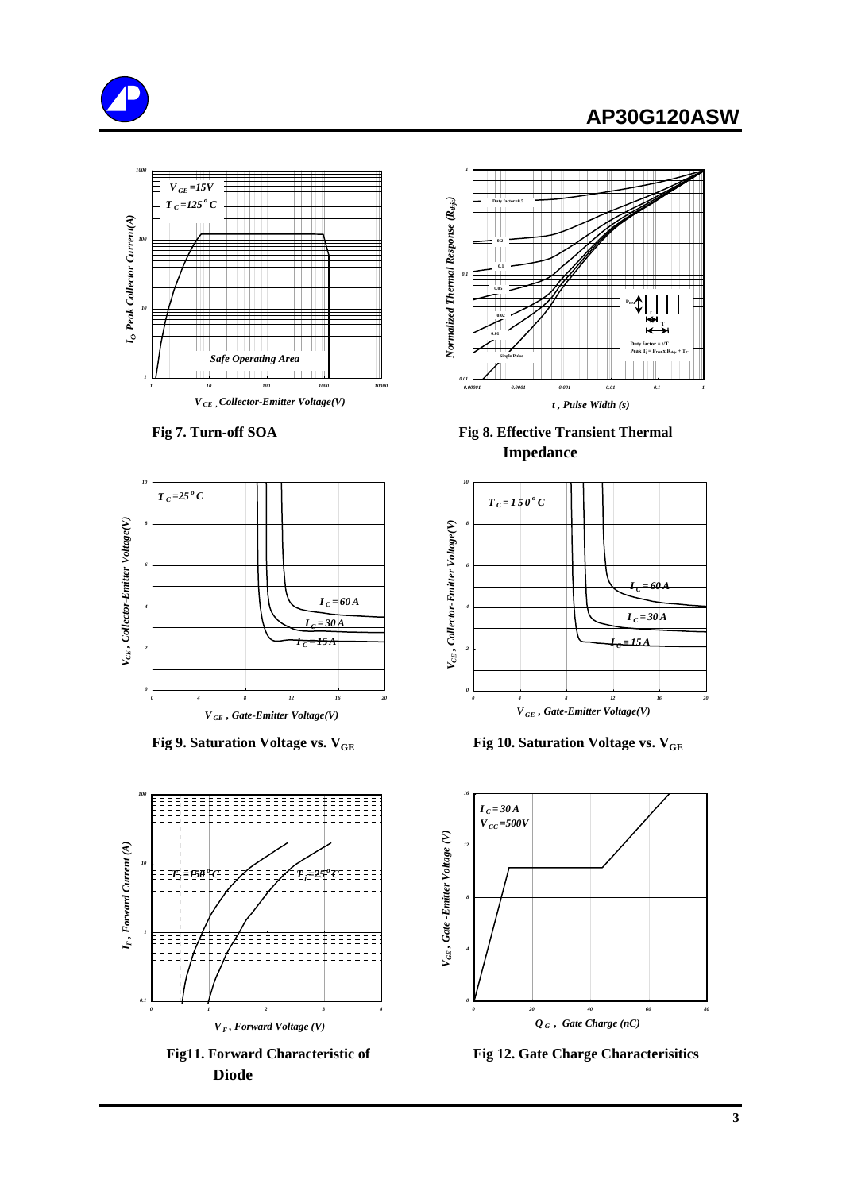## **AP30G120ASW**









 **Diode**



Fig 7. Turn-off SOA Fig 8. Effective Transient Thermal  **Impedance**



**Fig 9. Saturation Voltage vs. V<sub>GE</sub> Fig 10. Saturation Voltage vs. V<sub>GE</sub>** 



 **Fig11. Forward Characteristic of Fig 12. Gate Charge Characterisitics**